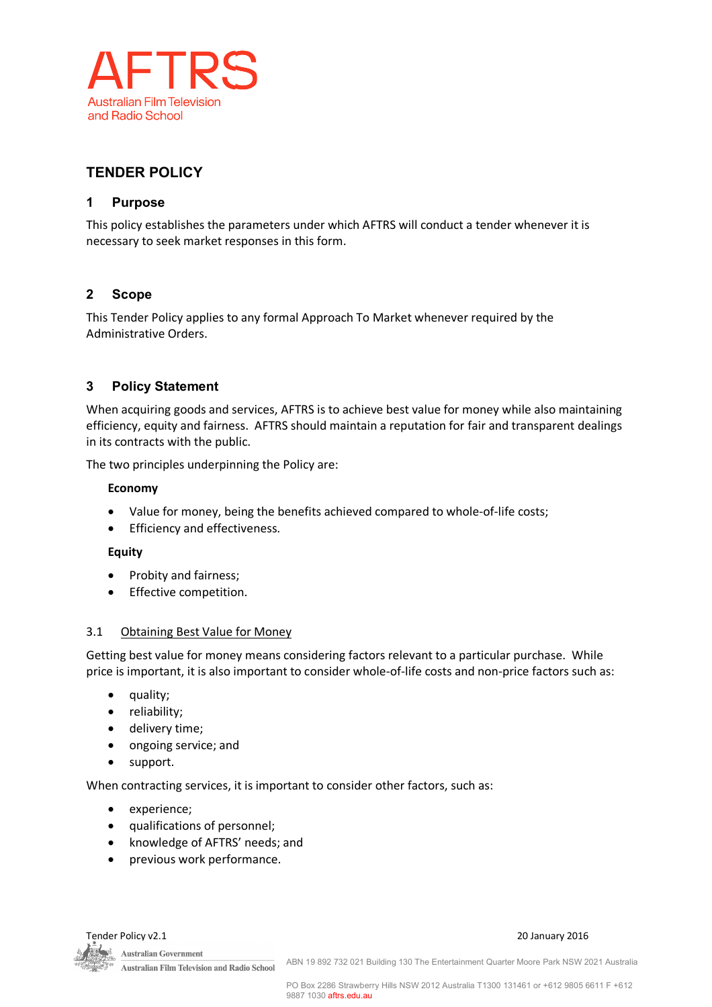

# **TENDER POLICY**

## **1 Purpose**

This policy establishes the parameters under which AFTRS will conduct a tender whenever it is necessary to seek market responses in this form.

# **2 Scope**

This Tender Policy applies to any formal Approach To Market whenever required by the Administrative Orders.

# **3 Policy Statement**

When acquiring goods and services, AFTRS is to achieve best value for money while also maintaining efficiency, equity and fairness. AFTRS should maintain a reputation for fair and transparent dealings in its contracts with the public.

The two principles underpinning the Policy are:

#### **Economy**

- Value for money, being the benefits achieved compared to whole-of-life costs;
- Efficiency and effectiveness.

#### **Equity**

- Probity and fairness;
- Effective competition.

#### 3.1 Obtaining Best Value for Money

Getting best value for money means considering factors relevant to a particular purchase. While price is important, it is also important to consider whole-of-life costs and non-price factors such as:

- quality;
- reliability;
- delivery time;
- ongoing service; and
- support.

When contracting services, it is important to consider other factors, such as:

- experience;
- qualifications of personnel;
- knowledge of AFTRS' needs; and
- previous work performance.



Tender Policy v2.1 20 January 2016

ABN 19 892 732 021 Building 130 The Entertainment Quarter Moore Park NSW 2021 Australia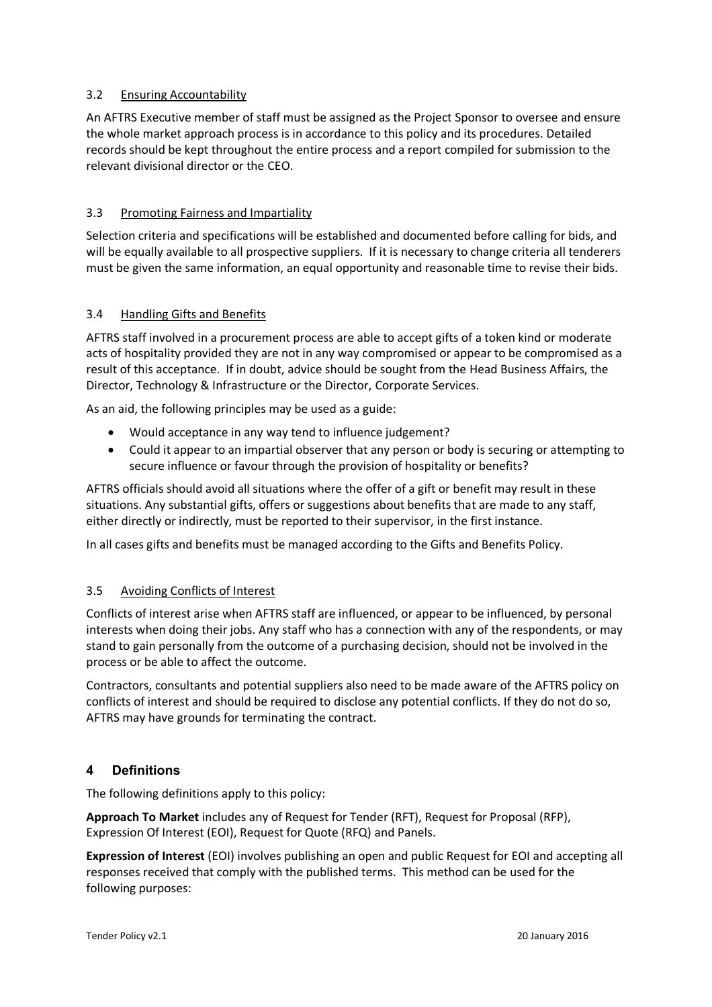#### 3.2 Ensuring Accountability

An AFTRS Executive member of staff must be assigned as the Project Sponsor to oversee and ensure the whole market approach process is in accordance to this policy and its procedures. Detailed records should be kept throughout the entire process and a report compiled for submission to the relevant divisional director or the CEO.

## 3.3 Promoting Fairness and Impartiality

Selection criteria and specifications will be established and documented before calling for bids, and will be equally available to all prospective suppliers. If it is necessary to change criteria all tenderers must be given the same information, an equal opportunity and reasonable time to revise their bids.

## 3.4 Handling Gifts and Benefits

AFTRS staff involved in a procurement process are able to accept gifts of a token kind or moderate acts of hospitality provided they are not in any way compromised or appear to be compromised as a result of this acceptance. If in doubt, advice should be sought from the Head Business Affairs, the Director, Technology & Infrastructure or the Director, Corporate Services.

As an aid, the following principles may be used as a guide:

- Would acceptance in any way tend to influence judgement?
- Could it appear to an impartial observer that any person or body is securing or attempting to secure influence or favour through the provision of hospitality or benefits?

AFTRS officials should avoid all situations where the offer of a gift or benefit may result in these situations. Any substantial gifts, offers or suggestions about benefits that are made to any staff, either directly or indirectly, must be reported to their supervisor, in the first instance.

In all cases gifts and benefits must be managed according to the Gifts and Benefits Policy.

## 3.5 Avoiding Conflicts of Interest

Conflicts of interest arise when AFTRS staff are influenced, or appear to be influenced, by personal interests when doing their jobs. Any staff who has a connection with any of the respondents, or may stand to gain personally from the outcome of a purchasing decision, should not be involved in the process or be able to affect the outcome.

Contractors, consultants and potential suppliers also need to be made aware of the AFTRS policy on conflicts of interest and should be required to disclose any potential conflicts. If they do not do so, AFTRS may have grounds for terminating the contract.

## **4 Definitions**

The following definitions apply to this policy:

**Approach To Market** includes any of Request for Tender (RFT), Request for Proposal (RFP), Expression Of Interest (EOI), Request for Quote (RFQ) and Panels.

**Expression of Interest** (EOI) involves publishing an open and public Request for EOI and accepting all responses received that comply with the published terms. This method can be used for the following purposes: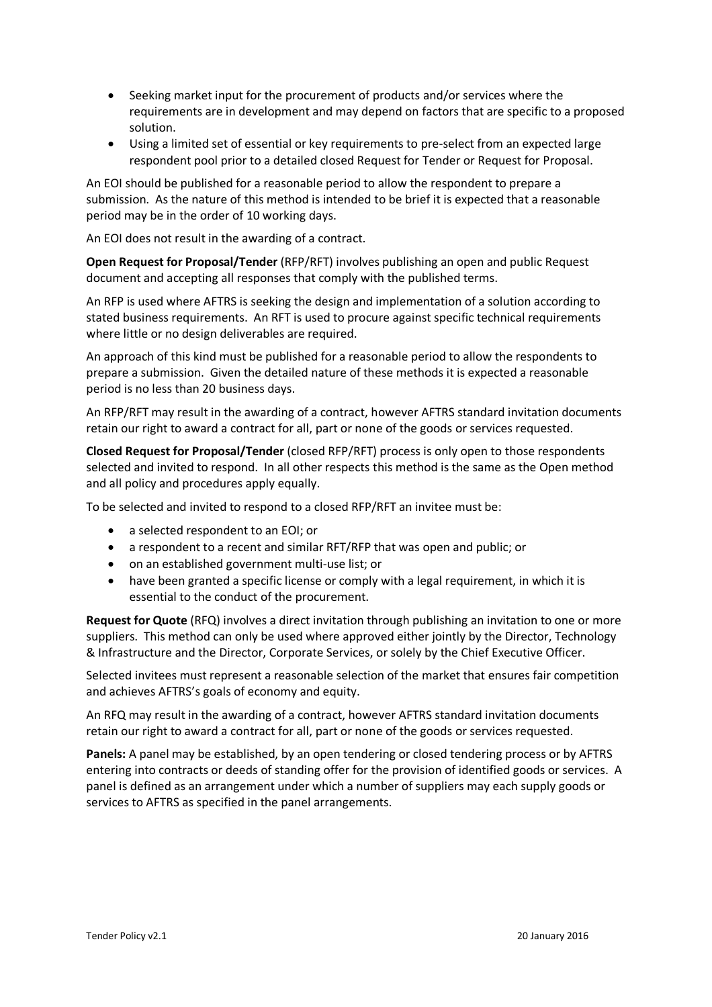- Seeking market input for the procurement of products and/or services where the requirements are in development and may depend on factors that are specific to a proposed solution.
- Using a limited set of essential or key requirements to pre-select from an expected large respondent pool prior to a detailed closed Request for Tender or Request for Proposal.

An EOI should be published for a reasonable period to allow the respondent to prepare a submission. As the nature of this method is intended to be brief it is expected that a reasonable period may be in the order of 10 working days.

An EOI does not result in the awarding of a contract.

**Open Request for Proposal/Tender** (RFP/RFT) involves publishing an open and public Request document and accepting all responses that comply with the published terms.

An RFP is used where AFTRS is seeking the design and implementation of a solution according to stated business requirements. An RFT is used to procure against specific technical requirements where little or no design deliverables are required.

An approach of this kind must be published for a reasonable period to allow the respondents to prepare a submission. Given the detailed nature of these methods it is expected a reasonable period is no less than 20 business days.

An RFP/RFT may result in the awarding of a contract, however AFTRS standard invitation documents retain our right to award a contract for all, part or none of the goods or services requested.

**Closed Request for Proposal/Tender** (closed RFP/RFT) process is only open to those respondents selected and invited to respond. In all other respects this method is the same as the Open method and all policy and procedures apply equally.

To be selected and invited to respond to a closed RFP/RFT an invitee must be:

- a selected respondent to an EOI; or
- a respondent to a recent and similar RFT/RFP that was open and public; or
- on an established government multi-use list; or
- have been granted a specific license or comply with a legal requirement, in which it is essential to the conduct of the procurement.

**Request for Quote** (RFQ) involves a direct invitation through publishing an invitation to one or more suppliers. This method can only be used where approved either jointly by the Director, Technology & Infrastructure and the Director, Corporate Services, or solely by the Chief Executive Officer.

Selected invitees must represent a reasonable selection of the market that ensures fair competition and achieves AFTRS's goals of economy and equity.

An RFQ may result in the awarding of a contract, however AFTRS standard invitation documents retain our right to award a contract for all, part or none of the goods or services requested.

**Panels:** A panel may be established, by an open tendering or closed tendering process or by AFTRS entering into contracts or deeds of standing offer for the provision of identified goods or services. A panel is defined as an arrangement under which a number of suppliers may each supply goods or services to AFTRS as specified in the panel arrangements.